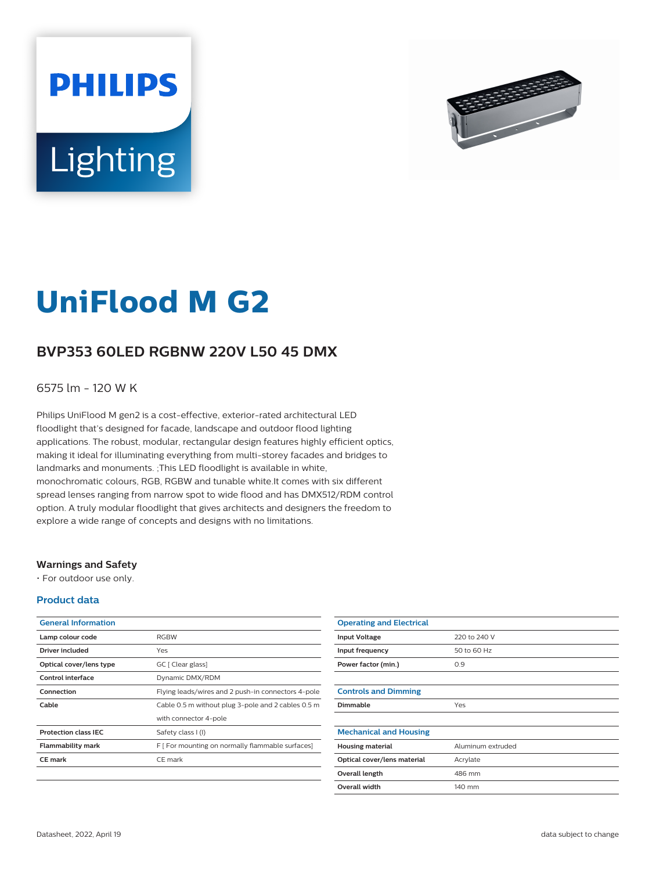



# **UniFlood M G2**

## **BVP353 60LED RGBNW 220V L50 45 DMX**

6575 lm - 120 W K

Philips UniFlood M gen2 is a cost-effective, exterior-rated architectural LED floodlight that's designed for facade, landscape and outdoor flood lighting applications. The robust, modular, rectangular design features highly efficient optics, making it ideal for illuminating everything from multi-storey facades and bridges to landmarks and monuments. ;This LED floodlight is available in white, monochromatic colours, RGB, RGBW and tunable white.It comes with six different spread lenses ranging from narrow spot to wide flood and has DMX512/RDM control option. A truly modular floodlight that gives architects and designers the freedom to explore a wide range of concepts and designs with no limitations.

## **Warnings and Safety**

• For outdoor use only.

## **Product data**

| <b>General Information</b>  |                                                    |
|-----------------------------|----------------------------------------------------|
| Lamp colour code            | <b>RGBW</b>                                        |
| Driver included             | Yes                                                |
| Optical cover/lens type     | GC [ Clear glass]                                  |
| Control interface           | Dynamic DMX/RDM                                    |
| Connection                  | Flying leads/wires and 2 push-in connectors 4-pole |
| Cable                       | Cable 0.5 m without plug 3-pole and 2 cables 0.5 m |
|                             | with connector 4-pole                              |
| <b>Protection class IEC</b> | Safety class I (I)                                 |
| <b>Flammability mark</b>    | F [ For mounting on normally flammable surfaces]   |
| <b>CE</b> mark              | CE mark                                            |
|                             |                                                    |

| <b>Operating and Electrical</b> |                   |
|---------------------------------|-------------------|
| <b>Input Voltage</b>            | 220 to 240 V      |
| Input frequency                 | 50 to 60 Hz       |
| Power factor (min.)             | 0.9               |
|                                 |                   |
| <b>Controls and Dimming</b>     |                   |
| Dimmable                        | Yes               |
|                                 |                   |
| <b>Mechanical and Housing</b>   |                   |
| <b>Housing material</b>         | Aluminum extruded |
| Optical cover/lens material     | Acrylate          |
| Overall length                  | 486 mm            |
| <b>Overall width</b>            | 140 mm            |
|                                 |                   |